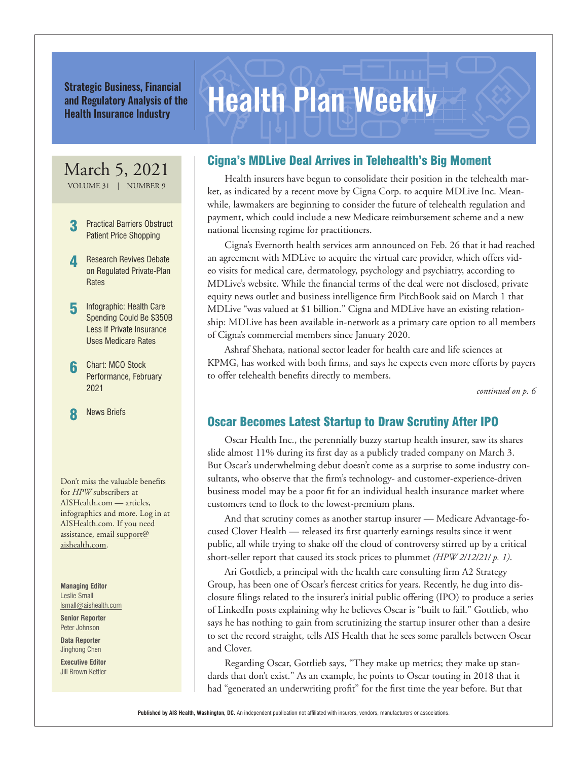Strategic Business, Financial<br>and Regulatory Analysis of the **Health Plan Weekly** and Regulatory Analysis of the Health Insurance Industry

## March 5, 2021

VOLUME 31 | NUMBER 9

- **Practical Barriers Obstruct** Patient Price Shopping
- **Research Revives Debate** on Regulated Private-Plan **Rates**
- **5** Infographic: Health Care Spending Could Be \$350B Less If Private Insurance Uses Medicare Rates
- 6 Chart: MCO Stock Performance, February 2021

**News Briefs** 

Don't miss the valuable benefits for *HPW* subscribers at AISHealth.com — articles, infographics and more. Log in at AISHealth.com. If you need assistance, email support@ aishealth.com.

**Managing Editor** Leslie Small lsmall@aishealth.com

**Senior Reporter** Peter Johnson

**Data Reporter** Jinghong Chen

**Executive Editor** Jill Brown Kettler

### Cigna's MDLive Deal Arrives in Telehealth's Big Moment

Health insurers have begun to consolidate their position in the telehealth market, as indicated by a recent move by Cigna Corp. to acquire MDLive Inc. Meanwhile, lawmakers are beginning to consider the future of telehealth regulation and payment, which could include a new Medicare reimbursement scheme and a new national licensing regime for practitioners.

Cigna's Evernorth health services arm announced on Feb. 26 that it had reached an agreement with MDLive to acquire the virtual care provider, which offers video visits for medical care, dermatology, psychology and psychiatry, according to MDLive's website. While the financial terms of the deal were not disclosed, private equity news outlet and business intelligence firm PitchBook said on March 1 that MDLive "was valued at \$1 billion." Cigna and MDLive have an existing relationship: MDLive has been available in-network as a primary care option to all members of Cigna's commercial members since January 2020.

Ashraf Shehata, national sector leader for health care and life sciences at KPMG, has worked with both firms, and says he expects even more efforts by payers to offer telehealth benefits directly to members.

*continued on p. 6*

#### Oscar Becomes Latest Startup to Draw Scrutiny After IPO

Oscar Health Inc., the perennially buzzy startup health insurer, saw its shares slide almost 11% during its first day as a publicly traded company on March 3. But Oscar's underwhelming debut doesn't come as a surprise to some industry consultants, who observe that the firm's technology- and customer-experience-driven business model may be a poor fit for an individual health insurance market where customers tend to flock to the lowest-premium plans.

And that scrutiny comes as another startup insurer — Medicare Advantage-focused Clover Health — released its first quarterly earnings results since it went public, all while trying to shake off the cloud of controversy stirred up by a critical short-seller report that caused its stock prices to plummet *(HPW 2/12/21/ p. 1)*.

Ari Gottlieb, a principal with the health care consulting firm A2 Strategy Group, has been one of Oscar's fiercest critics for years. Recently, he dug into disclosure filings related to the insurer's initial public offering (IPO) to produce a series of LinkedIn posts explaining why he believes Oscar is "built to fail." Gottlieb, who says he has nothing to gain from scrutinizing the startup insurer other than a desire to set the record straight, tells AIS Health that he sees some parallels between Oscar and Clover.

Regarding Oscar, Gottlieb says, "They make up metrics; they make up standards that don't exist." As an example, he points to Oscar touting in 2018 that it had "generated an underwriting profit" for the first time the year before. But that

**Published by AIS Health, Washington, DC.** An independent publication not affiliated with insurers, vendors, manufacturers or associations.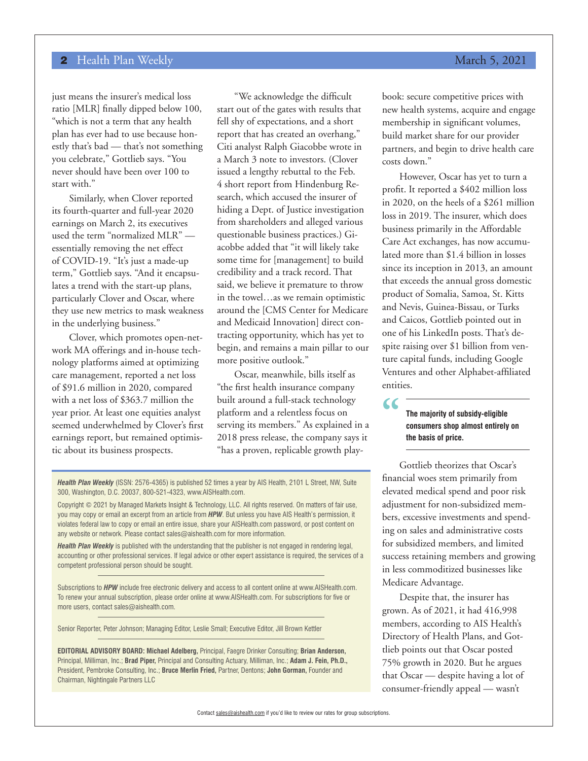just means the insurer's medical loss ratio [MLR] finally dipped below 100, "which is not a term that any health plan has ever had to use because honestly that's bad — that's not something you celebrate," Gottlieb says. "You never should have been over 100 to start with."

Similarly, when Clover reported its fourth-quarter and full-year 2020 earnings on March 2, its executives used the term "normalized MLR" essentially removing the net effect of COVID-19. "It's just a made-up term," Gottlieb says. "And it encapsulates a trend with the start-up plans, particularly Clover and Oscar, where they use new metrics to mask weakness in the underlying business."

Clover, which promotes open-network MA offerings and in-house technology platforms aimed at optimizing care management, reported a net loss of \$91.6 million in 2020, compared with a net loss of \$363.7 million the year prior. At least one equities analyst seemed underwhelmed by Clover's first earnings report, but remained optimistic about its business prospects.

"We acknowledge the difficult start out of the gates with results that fell shy of expectations, and a short report that has created an overhang," Citi analyst Ralph Giacobbe wrote in a March 3 note to investors. (Clover issued a lengthy rebuttal to the Feb. 4 short report from Hindenburg Research, which accused the insurer of hiding a Dept. of Justice investigation from shareholders and alleged various questionable business practices.) Giacobbe added that "it will likely take some time for [management] to build credibility and a track record. That said, we believe it premature to throw in the towel…as we remain optimistic around the [CMS Center for Medicare and Medicaid Innovation] direct contracting opportunity, which has yet to begin, and remains a main pillar to our more positive outlook."

Oscar, meanwhile, bills itself as "the first health insurance company built around a full-stack technology platform and a relentless focus on serving its members." As explained in a 2018 press release, the company says it "has a proven, replicable growth play-

*Health Plan Weekly* (ISSN: 2576-4365) is published 52 times a year by AIS Health, 2101 L Street, NW, Suite 300, Washington, D.C. 20037, 800-521-4323, www.AISHealth.com.

Copyright © 2021 by Managed Markets Insight & Technology, LLC. All rights reserved. On matters of fair use, you may copy or email an excerpt from an article from *HPW*. But unless you have AIS Health's permission, it violates federal law to copy or email an entire issue, share your AISHealth.com password, or post content on any website or network. Please contact sales@aishealth.com for more information.

*Health Plan Weekly* is published with the understanding that the publisher is not engaged in rendering legal, accounting or other professional services. If legal advice or other expert assistance is required, the services of a competent professional person should be sought.

Subscriptions to *HPW* include free electronic delivery and access to all content online at www.AISHealth.com. To renew your annual subscription, please order online at www.AISHealth.com. For subscriptions for five or more users, contact sales@aishealth.com.

Senior Reporter, Peter Johnson; Managing Editor, Leslie Small; Executive Editor, Jill Brown Kettler

**EDITORIAL ADVISORY BOARD: Michael Adelberg,** Principal, Faegre Drinker Consulting; **Brian Anderson,**  Principal, Milliman, Inc.; **Brad Piper,** Principal and Consulting Actuary, Milliman, Inc.; **Adam J. Fein, Ph.D.,**  President, Pembroke Consulting, Inc.; **Bruce Merlin Fried,** Partner, Dentons; **John Gorman,** Founder and Chairman, Nightingale Partners LLC

# book: secure competitive prices with

new health systems, acquire and engage membership in significant volumes, build market share for our provider partners, and begin to drive health care costs down."

However, Oscar has yet to turn a profit. It reported a \$402 million loss in 2020, on the heels of a \$261 million loss in 2019. The insurer, which does business primarily in the Affordable Care Act exchanges, has now accumulated more than \$1.4 billion in losses since its inception in 2013, an amount that exceeds the annual gross domestic product of Somalia, Samoa, St. Kitts and Nevis, Guinea-Bissau, or Turks and Caicos, Gottlieb pointed out in one of his LinkedIn posts. That's despite raising over \$1 billion from venture capital funds, including Google Ventures and other Alphabet-affiliated entities.

#### **The majority of subsidy-eligible consumers shop almost entirely on the basis of price.**

**"**

Gottlieb theorizes that Oscar's financial woes stem primarily from elevated medical spend and poor risk adjustment for non-subsidized members, excessive investments and spending on sales and administrative costs for subsidized members, and limited success retaining members and growing in less commoditized businesses like Medicare Advantage.

Despite that, the insurer has grown. As of 2021, it had 416,998 members, according to AIS Health's Directory of Health Plans, and Gottlieb points out that Oscar posted 75% growth in 2020. But he argues that Oscar — despite having a lot of consumer-friendly appeal — wasn't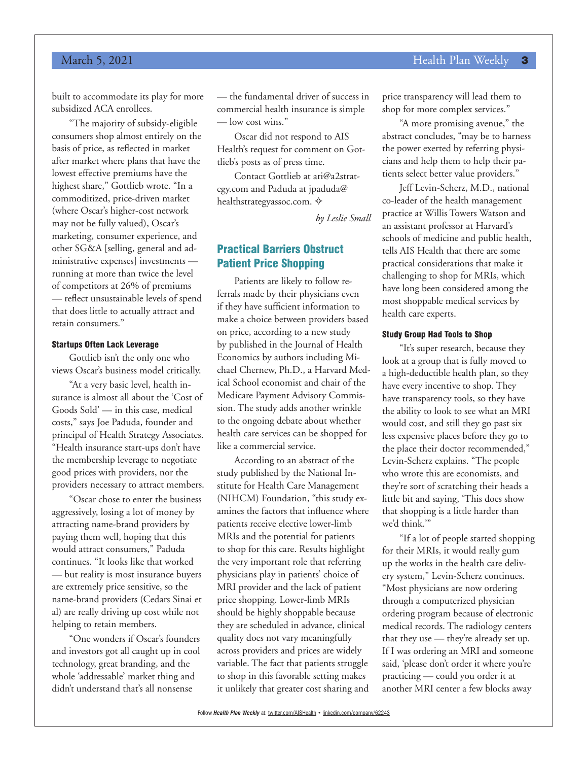#### March 5, 2021 **Health Plan Weekly 3**

built to accommodate its play for more subsidized ACA enrollees.

"The majority of subsidy-eligible consumers shop almost entirely on the basis of price, as reflected in market after market where plans that have the lowest effective premiums have the highest share," Gottlieb wrote. "In a commoditized, price-driven market (where Oscar's higher-cost network may not be fully valued), Oscar's marketing, consumer experience, and other SG&A [selling, general and administrative expenses] investments running at more than twice the level of competitors at 26% of premiums — reflect unsustainable levels of spend that does little to actually attract and retain consumers."

#### Startups Often Lack Leverage

Gottlieb isn't the only one who views Oscar's business model critically.

"At a very basic level, health insurance is almost all about the 'Cost of Goods Sold' — in this case, medical costs," says Joe Paduda, founder and principal of Health Strategy Associates. "Health insurance start-ups don't have the membership leverage to negotiate good prices with providers, nor the providers necessary to attract members.

"Oscar chose to enter the business aggressively, losing a lot of money by attracting name-brand providers by paying them well, hoping that this would attract consumers," Paduda continues. "It looks like that worked — but reality is most insurance buyers are extremely price sensitive, so the name-brand providers (Cedars Sinai et al) are really driving up cost while not helping to retain members.

"One wonders if Oscar's founders and investors got all caught up in cool technology, great branding, and the whole 'addressable' market thing and didn't understand that's all nonsense

— the fundamental driver of success in commercial health insurance is simple — low cost wins."

Oscar did not respond to AIS Health's request for comment on Gottlieb's posts as of press time.

Contact Gottlieb at ari@a2strategy.com and Paduda at jpaduda@ healthstrategyassoc.com.  $\diamond$ 

*by Leslie Small*

#### Practical Barriers Obstruct Patient Price Shopping

Patients are likely to follow referrals made by their physicians even if they have sufficient information to make a choice between providers based on price, according to a new study by published in the Journal of Health Economics by authors including Michael Chernew, Ph.D., a Harvard Medical School economist and chair of the Medicare Payment Advisory Commission. The study adds another wrinkle to the ongoing debate about whether health care services can be shopped for like a commercial service.

According to an abstract of the study published by the National Institute for Health Care Management (NIHCM) Foundation, "this study examines the factors that influence where patients receive elective lower-limb MRIs and the potential for patients to shop for this care. Results highlight the very important role that referring physicians play in patients' choice of MRI provider and the lack of patient price shopping. Lower-limb MRIs should be highly shoppable because they are scheduled in advance, clinical quality does not vary meaningfully across providers and prices are widely variable. The fact that patients struggle to shop in this favorable setting makes it unlikely that greater cost sharing and

price transparency will lead them to shop for more complex services."

"A more promising avenue," the abstract concludes, "may be to harness the power exerted by referring physicians and help them to help their patients select better value providers."

Jeff Levin-Scherz, M.D., national co-leader of the health management practice at Willis Towers Watson and an assistant professor at Harvard's schools of medicine and public health, tells AIS Health that there are some practical considerations that make it challenging to shop for MRIs, which have long been considered among the most shoppable medical services by health care experts.

#### Study Group Had Tools to Shop

"It's super research, because they look at a group that is fully moved to a high-deductible health plan, so they have every incentive to shop. They have transparency tools, so they have the ability to look to see what an MRI would cost, and still they go past six less expensive places before they go to the place their doctor recommended," Levin-Scherz explains. "The people who wrote this are economists, and they're sort of scratching their heads a little bit and saying, 'This does show that shopping is a little harder than we'd think.'"

"If a lot of people started shopping for their MRIs, it would really gum up the works in the health care delivery system," Levin-Scherz continues. "Most physicians are now ordering through a computerized physician ordering program because of electronic medical records. The radiology centers that they use — they're already set up. If I was ordering an MRI and someone said, 'please don't order it where you're practicing — could you order it at another MRI center a few blocks away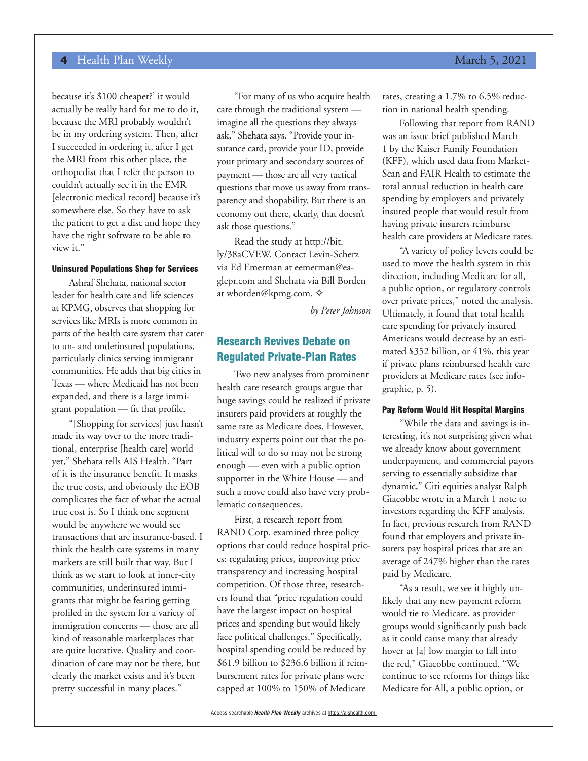because it's \$100 cheaper?' it would actually be really hard for me to do it, because the MRI probably wouldn't be in my ordering system. Then, after I succeeded in ordering it, after I get the MRI from this other place, the orthopedist that I refer the person to couldn't actually see it in the EMR [electronic medical record] because it's somewhere else. So they have to ask the patient to get a disc and hope they have the right software to be able to view it."

#### Uninsured Populations Shop for Services

Ashraf Shehata, national sector leader for health care and life sciences at KPMG, observes that shopping for services like MRIs is more common in parts of the health care system that cater to un- and underinsured populations, particularly clinics serving immigrant communities. He adds that big cities in Texas — where Medicaid has not been expanded, and there is a large immigrant population — fit that profile.

"[Shopping for services] just hasn't made its way over to the more traditional, enterprise [health care] world yet," Shehata tells AIS Health. "Part of it is the insurance benefit. It masks the true costs, and obviously the EOB complicates the fact of what the actual true cost is. So I think one segment would be anywhere we would see transactions that are insurance-based. I think the health care systems in many markets are still built that way. But I think as we start to look at inner-city communities, underinsured immigrants that might be fearing getting profiled in the system for a variety of immigration concerns — those are all kind of reasonable marketplaces that are quite lucrative. Quality and coordination of care may not be there, but clearly the market exists and it's been pretty successful in many places."

"For many of us who acquire health care through the traditional system imagine all the questions they always ask," Shehata says. "Provide your insurance card, provide your ID, provide your primary and secondary sources of payment — those are all very tactical questions that move us away from transparency and shopability. But there is an economy out there, clearly, that doesn't ask those questions."

Read the study at http://bit. ly/38aCVEW. Contact Levin-Scherz via Ed Emerman at eemerman@eaglepr.com and Shehata via Bill Borden at wborden@kpmg.com.  $\diamond$ 

*by Peter Johnson*

### Research Revives Debate on Regulated Private-Plan Rates

Two new analyses from prominent health care research groups argue that huge savings could be realized if private insurers paid providers at roughly the same rate as Medicare does. However, industry experts point out that the political will to do so may not be strong enough — even with a public option supporter in the White House — and such a move could also have very problematic consequences.

First, a research report from RAND Corp. examined three policy options that could reduce hospital prices: regulating prices, improving price transparency and increasing hospital competition. Of those three, researchers found that "price regulation could have the largest impact on hospital prices and spending but would likely face political challenges." Specifically, hospital spending could be reduced by \$61.9 billion to \$236.6 billion if reimbursement rates for private plans were capped at 100% to 150% of Medicare

Following that report from RAND was an issue brief published March 1 by the Kaiser Family Foundation (KFF), which used data from Market-Scan and FAIR Health to estimate the total annual reduction in health care spending by employers and privately insured people that would result from having private insurers reimburse health care providers at Medicare rates.

"A variety of policy levers could be used to move the health system in this direction, including Medicare for all, a public option, or regulatory controls over private prices," noted the analysis. Ultimately, it found that total health care spending for privately insured Americans would decrease by an estimated \$352 billion, or 41%, this year if private plans reimbursed health care providers at Medicare rates (see infographic, p. 5).

#### Pay Reform Would Hit Hospital Margins

"While the data and savings is interesting, it's not surprising given what we already know about government underpayment, and commercial payors serving to essentially subsidize that dynamic," Citi equities analyst Ralph Giacobbe wrote in a March 1 note to investors regarding the KFF analysis. In fact, previous research from RAND found that employers and private insurers pay hospital prices that are an average of 247% higher than the rates paid by Medicare.

"As a result, we see it highly unlikely that any new payment reform would tie to Medicare, as provider groups would significantly push back as it could cause many that already hover at [a] low margin to fall into the red," Giacobbe continued. "We continue to see reforms for things like Medicare for All, a public option, or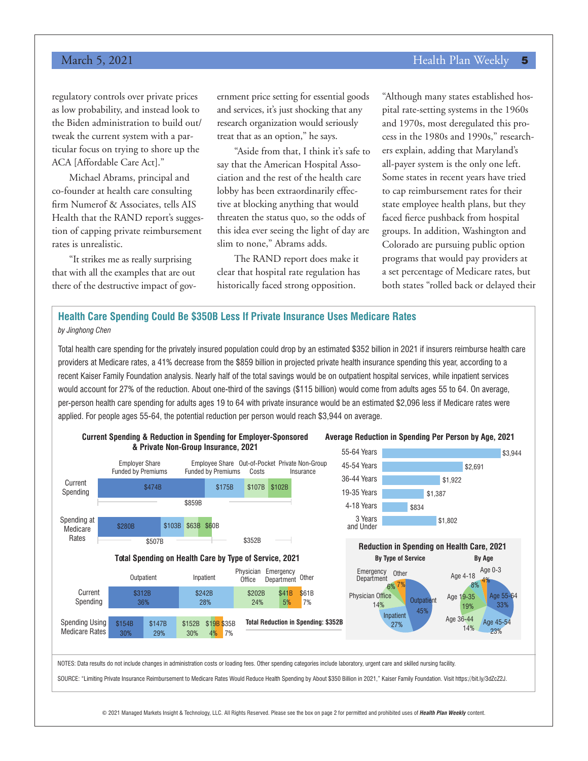#### March 5, 2021 **Health Plan Weekly 5** and the state of the state of the Health Plan Weekly 5

regulatory controls over private prices as low probability, and instead look to the Biden administration to build out/ tweak the current system with a particular focus on trying to shore up the ACA [Affordable Care Act]."

Michael Abrams, principal and co-founder at health care consulting firm Numerof & Associates, tells AIS Health that the RAND report's suggestion of capping private reimbursement rates is unrealistic.

"It strikes me as really surprising that with all the examples that are out there of the destructive impact of government price setting for essential goods and services, it's just shocking that any research organization would seriously treat that as an option," he says.

"Aside from that, I think it's safe to say that the American Hospital Association and the rest of the health care lobby has been extraordinarily effective at blocking anything that would threaten the status quo, so the odds of this idea ever seeing the light of day are slim to none," Abrams adds.

The RAND report does make it clear that hospital rate regulation has historically faced strong opposition.

"Although many states established hospital rate-setting systems in the 1960s and 1970s, most deregulated this process in the 1980s and 1990s," researchers explain, adding that Maryland's all-payer system is the only one left. Some states in recent years have tried to cap reimbursement rates for their state employee health plans, but they faced fierce pushback from hospital groups. In addition, Washington and Colorado are pursuing public option programs that would pay providers at a set percentage of Medicare rates, but both states "rolled back or delayed their

#### **Health Care Spending Could Be \$350B Less If Private Insurance Uses Medicare Rates** *by Jinghong Chen*

Total health care spending for the privately insured population could drop by an estimated \$352 billion in 2021 if insurers reimburse health care providers at Medicare rates, a 41% decrease from the \$859 billion in projected private health insurance spending this year, according to a recent Kaiser Family Foundation analysis. Nearly half of the total savings would be on outpatient hospital services, while inpatient services would account for 27% of the reduction. About one-third of the savings (\$115 billion) would come from adults ages 55 to 64. On average, per-person health care spending for adults ages 19 to 64 with private insurance would be an estimated \$2,096 less if Medicare rates were applied. For people ages 55-64, the potential reduction per person would reach \$3,944 on average.



© 2021 Managed Markets Insight & Technology, LLC. All Rights Reserved. Please see the box on page 2 for permitted and prohibited uses of *Health Plan Weekly* content.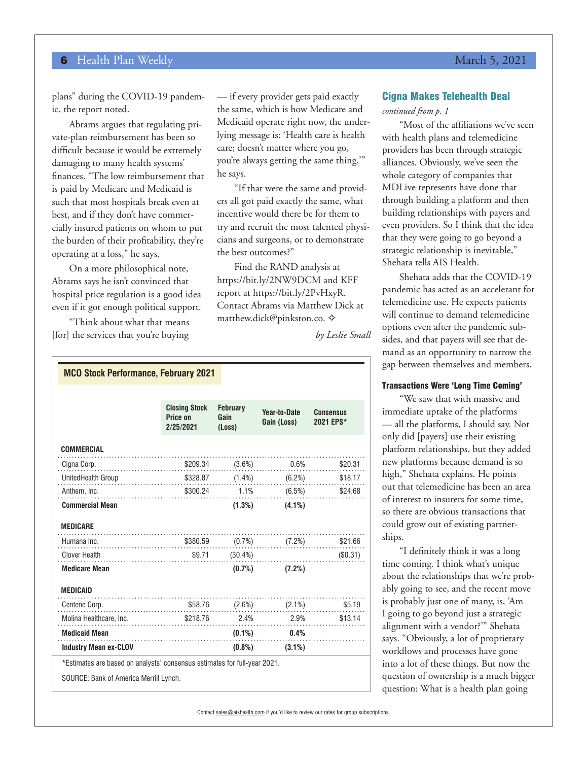plans" during the COVID-19 pandemic, the report noted.

Abrams argues that regulating private-plan reimbursement has been so difficult because it would be extremely damaging to many health systems' finances. "The low reimbursement that is paid by Medicare and Medicaid is such that most hospitals break even at best, and if they don't have commercially insured patients on whom to put the burden of their profitability, they're operating at a loss," he says.

On a more philosophical note, Abrams says he isn't convinced that hospital price regulation is a good idea even if it got enough political support.

"Think about what that means [for] the services that you're buying — if every provider gets paid exactly the same, which is how Medicare and Medicaid operate right now, the underlying message is: 'Health care is health care; doesn't matter where you go, you're always getting the same thing,'" he says.

"If that were the same and providers all got paid exactly the same, what incentive would there be for them to try and recruit the most talented physicians and surgeons, or to demonstrate the best outcomes?"

Find the RAND analysis at https://bit.ly/2NW9DCM and KFF report at https://bit.ly/2PvHxyR. Contact Abrams via Matthew Dick at matthew.dick@pinkston.co.  $\diamond$ 

*by Leslie Small*

| <b>MCO Stock Performance, February 2021</b>                               |                                               |                                   |                             |                                    |
|---------------------------------------------------------------------------|-----------------------------------------------|-----------------------------------|-----------------------------|------------------------------------|
|                                                                           | <b>Closing Stock</b><br>Price on<br>2/25/2021 | <b>February</b><br>Gain<br>(Loss) | Year-to-Date<br>Gain (Loss) | <b>Consensus</b><br>2021 EPS*      |
| <b>COMMERCIAL</b>                                                         |                                               |                                   |                             |                                    |
| Cigna Corp.                                                               |                                               |                                   |                             | $$209.34$ $(3.6%)$ $0.6%$ $$20.31$ |
| UnitedHealth Group \$328.87 (1.4%) (6.2%) \$18.17                         |                                               |                                   |                             |                                    |
| Anthem, Inc. 5300.24 1.1% (6.5%) \$24.68                                  |                                               |                                   |                             |                                    |
| <b>Commercial Mean</b>                                                    |                                               |                                   | $(1.3\%)$ $(4.1\%)$         |                                    |
| <b>MEDICARE</b>                                                           |                                               |                                   |                             |                                    |
| Humana Inc.                                                               | $$380.59$ (0.7%) (7.2%) \$21.66               |                                   |                             |                                    |
| <b>Clover Health</b>                                                      | $$9.71$ $(30.4\%)$ $(50.31)$                  |                                   |                             |                                    |
| <b>Medicare Mean</b>                                                      |                                               |                                   | $(0.7\%)$ $(7.2\%)$         |                                    |
| <b>MEDICAID</b>                                                           |                                               |                                   |                             |                                    |
| Centene Corp.                                                             | $$58.76$ $(2.6%)$ $(2.1%)$ $$5.19$            |                                   |                             |                                    |
| Molina Healthcare, Inc. \$218.76 2.4% 2.9% 813.14                         |                                               |                                   |                             |                                    |
| <b>Medicaid Mean</b>                                                      |                                               |                                   | $(0.1\%)$ 0.4%              |                                    |
| <b>Industry Mean ex-CLOV</b>                                              |                                               |                                   | $(0.8\%)$ $(3.1\%)$         |                                    |
| *Estimates are based on analysts' consensus estimates for full-year 2021. |                                               |                                   |                             |                                    |
| SOURCE: Bank of America Merrill Lynch.                                    |                                               |                                   |                             |                                    |

#### Cigna Makes Telehealth Deal

*continued from p. 1*

"Most of the affiliations we've seen with health plans and telemedicine providers has been through strategic alliances. Obviously, we've seen the whole category of companies that MDLive represents have done that through building a platform and then building relationships with payers and even providers. So I think that the idea that they were going to go beyond a strategic relationship is inevitable," Shehata tells AIS Health.

Shehata adds that the COVID-19 pandemic has acted as an accelerant for telemedicine use. He expects patients will continue to demand telemedicine options even after the pandemic subsides, and that payers will see that demand as an opportunity to narrow the gap between themselves and members.

#### Transactions Were 'Long Time Coming'

"We saw that with massive and immediate uptake of the platforms — all the platforms, I should say. Not only did [payers] use their existing platform relationships, but they added new platforms because demand is so high," Shehata explains. He points out that telemedicine has been an area of interest to insurers for some time, so there are obvious transactions that could grow out of existing partnerships.

"I definitely think it was a long time coming. I think what's unique about the relationships that we're probably going to see, and the recent move is probably just one of many, is, 'Am I going to go beyond just a strategic alignment with a vendor?'" Shehata says. "Obviously, a lot of proprietary workflows and processes have gone into a lot of these things. But now the question of ownership is a much bigger question: What is a health plan going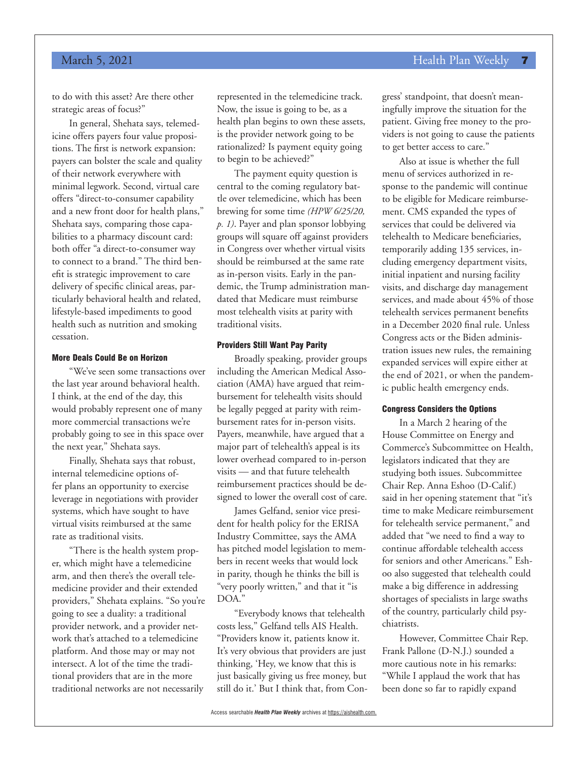### March 5, 2021 **Health Plan Weekly 7** No. 2021

to do with this asset? Are there other strategic areas of focus?"

In general, Shehata says, telemedicine offers payers four value propositions. The first is network expansion: payers can bolster the scale and quality of their network everywhere with minimal legwork. Second, virtual care offers "direct-to-consumer capability and a new front door for health plans," Shehata says, comparing those capabilities to a pharmacy discount card: both offer "a direct-to-consumer way to connect to a brand." The third benefit is strategic improvement to care delivery of specific clinical areas, particularly behavioral health and related, lifestyle-based impediments to good health such as nutrition and smoking cessation.

#### More Deals Could Be on Horizon

"We've seen some transactions over the last year around behavioral health. I think, at the end of the day, this would probably represent one of many more commercial transactions we're probably going to see in this space over the next year," Shehata says.

Finally, Shehata says that robust, internal telemedicine options offer plans an opportunity to exercise leverage in negotiations with provider systems, which have sought to have virtual visits reimbursed at the same rate as traditional visits.

"There is the health system proper, which might have a telemedicine arm, and then there's the overall telemedicine provider and their extended providers," Shehata explains. "So you're going to see a duality: a traditional provider network, and a provider network that's attached to a telemedicine platform. And those may or may not intersect. A lot of the time the traditional providers that are in the more traditional networks are not necessarily

represented in the telemedicine track. Now, the issue is going to be, as a health plan begins to own these assets, is the provider network going to be rationalized? Is payment equity going to begin to be achieved?"

The payment equity question is central to the coming regulatory battle over telemedicine, which has been brewing for some time *(HPW 6/25/20, p. 1)*. Payer and plan sponsor lobbying groups will square off against providers in Congress over whether virtual visits should be reimbursed at the same rate as in-person visits. Early in the pandemic, the Trump administration mandated that Medicare must reimburse most telehealth visits at parity with traditional visits.

#### Providers Still Want Pay Parity

Broadly speaking, provider groups including the American Medical Association (AMA) have argued that reimbursement for telehealth visits should be legally pegged at parity with reimbursement rates for in-person visits. Payers, meanwhile, have argued that a major part of telehealth's appeal is its lower overhead compared to in-person visits — and that future telehealth reimbursement practices should be designed to lower the overall cost of care.

James Gelfand, senior vice president for health policy for the ERISA Industry Committee, says the AMA has pitched model legislation to members in recent weeks that would lock in parity, though he thinks the bill is "very poorly written," and that it "is DOA."

"Everybody knows that telehealth costs less," Gelfand tells AIS Health. "Providers know it, patients know it. It's very obvious that providers are just thinking, 'Hey, we know that this is just basically giving us free money, but still do it.' But I think that, from Congress' standpoint, that doesn't meaningfully improve the situation for the patient. Giving free money to the providers is not going to cause the patients to get better access to care."

Also at issue is whether the full menu of services authorized in response to the pandemic will continue to be eligible for Medicare reimbursement. CMS expanded the types of services that could be delivered via telehealth to Medicare beneficiaries, temporarily adding 135 services, including emergency department visits, initial inpatient and nursing facility visits, and discharge day management services, and made about 45% of those telehealth services permanent benefits in a December 2020 final rule. Unless Congress acts or the Biden administration issues new rules, the remaining expanded services will expire either at the end of 2021, or when the pandemic public health emergency ends.

#### Congress Considers the Options

In a March 2 hearing of the House Committee on Energy and Commerce's Subcommittee on Health, legislators indicated that they are studying both issues. Subcommittee Chair Rep. Anna Eshoo (D-Calif.) said in her opening statement that "it's time to make Medicare reimbursement for telehealth service permanent," and added that "we need to find a way to continue affordable telehealth access for seniors and other Americans." Eshoo also suggested that telehealth could make a big difference in addressing shortages of specialists in large swaths of the country, particularly child psychiatrists.

However, Committee Chair Rep. Frank Pallone (D-N.J.) sounded a more cautious note in his remarks: "While I applaud the work that has been done so far to rapidly expand